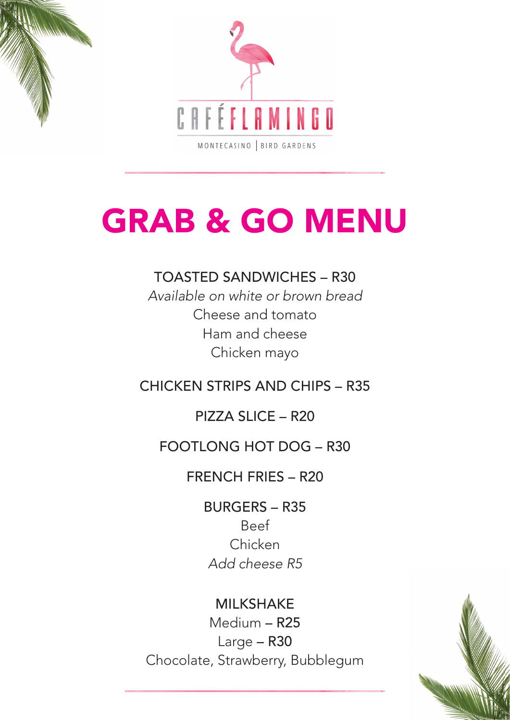#### TOASTED SANDWICHES – R30

Available on white or brown bread Cheese and tomato Ham and cheese Chicken mayo

## CHICKEN STRIPS AND CHIPS – R35

## PIZZA SLICE – R20

## FOOTLONG HOT DOG – R30

FRENCH FRIES – R20

BURGERS – R35

Beef

#### Chicken

#### Add cheese R5

## MILKSHAKE Medium – R25 Large – R30 Chocolate, Strawberry, Bubblegum



# GRAB & GO MENU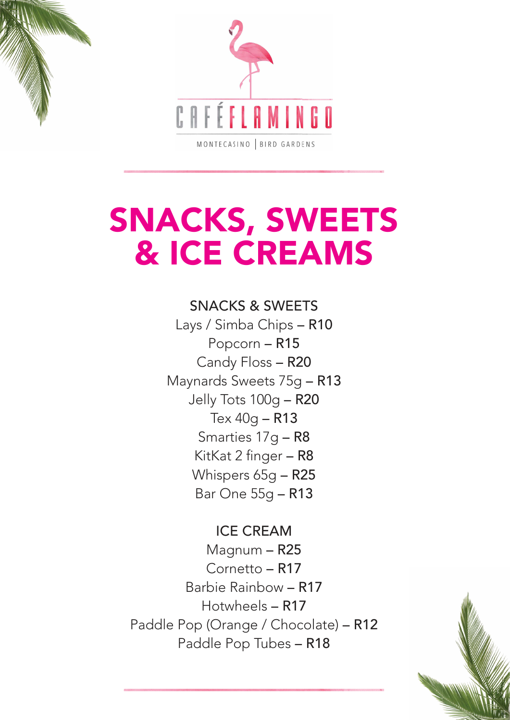

## SNACKS, SWEETS & ICE CREAMS

SNACKS & SWEETS Lays / Simba Chips – R10 Popcorn – R15 Candy Floss – R20 Maynards Sweets 75g – R13 Jelly Tots 100g – R20 Tex 40g – R13 Smarties 17g – R8 KitKat 2 finger – R8 Whispers 65g – R25 Bar One 55g – R13

ICE CREAM

Magnum – R25 Cornetto – R17 Barbie Rainbow – R17 Hotwheels – R17 Paddle Pop (Orange / Chocolate) – R12 Paddle Pop Tubes – R18